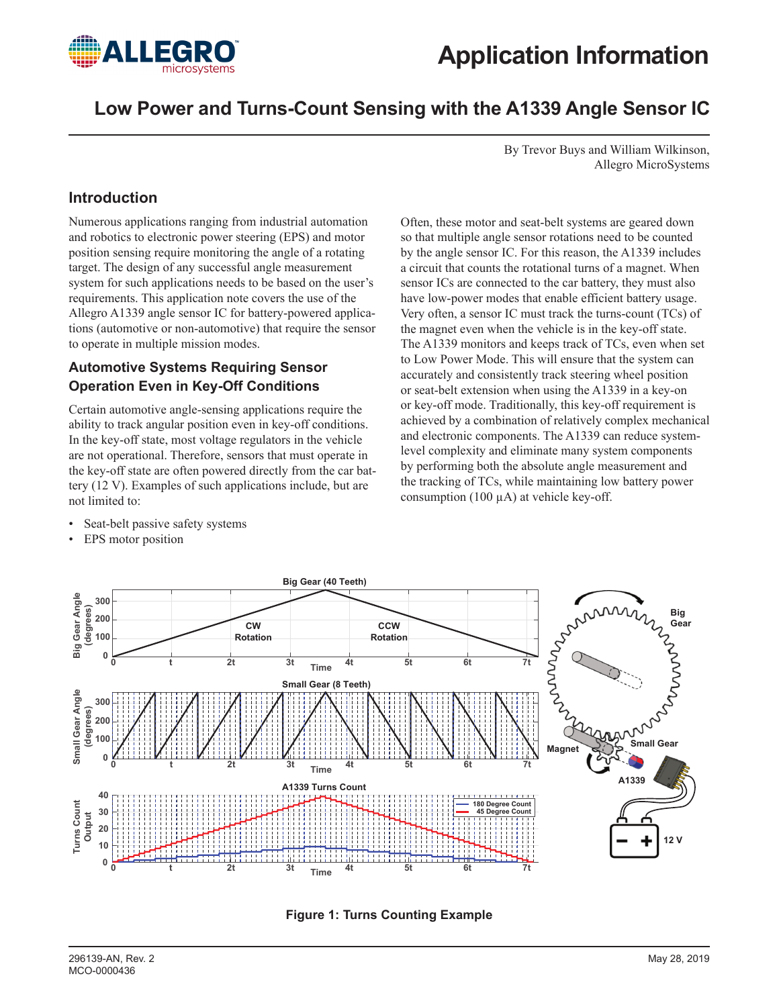

# **Low Power and Turns-Count Sensing with the A1339 Angle Sensor IC**

By Trevor Buys and William Wilkinson, Allegro MicroSystems

## **Introduction**

Numerous applications ranging from industrial automation and robotics to electronic power steering (EPS) and motor position sensing require monitoring the angle of a rotating target. The design of any successful angle measurement system for such applications needs to be based on the user's requirements. This application note covers the use of the Allegro A1339 angle sensor IC for battery-powered applications (automotive or non-automotive) that require the sensor to operate in multiple mission modes.

### **Automotive Systems Requiring Sensor Operation Even in Key-Off Conditions**

Certain automotive angle-sensing applications require the ability to track angular position even in key-off conditions. In the key-off state, most voltage regulators in the vehicle are not operational. Therefore, sensors that must operate in the key-off state are often powered directly from the car battery (12 V). Examples of such applications include, but are not limited to:

Seat-belt passive safety systems

• EPS motor position

Often, these motor and seat-belt systems are geared down so that multiple angle sensor rotations need to be counted by the angle sensor IC. For this reason, the A1339 includes a circuit that counts the rotational turns of a magnet. When sensor ICs are connected to the car battery, they must also have low-power modes that enable efficient battery usage. Very often, a sensor IC must track the turns-count (TCs) of the magnet even when the vehicle is in the key-off state. The A1339 monitors and keeps track of TCs, even when set to Low Power Mode. This will ensure that the system can accurately and consistently track steering wheel position or seat-belt extension when using the A1339 in a key-on or key-off mode. Traditionally, this key-off requirement is achieved by a combination of relatively complex mechanical and electronic components. The A1339 can reduce systemlevel complexity and eliminate many system components by performing both the absolute angle measurement and the tracking of TCs, while maintaining low battery power consumption (100  $\mu$ A) at vehicle key-off.



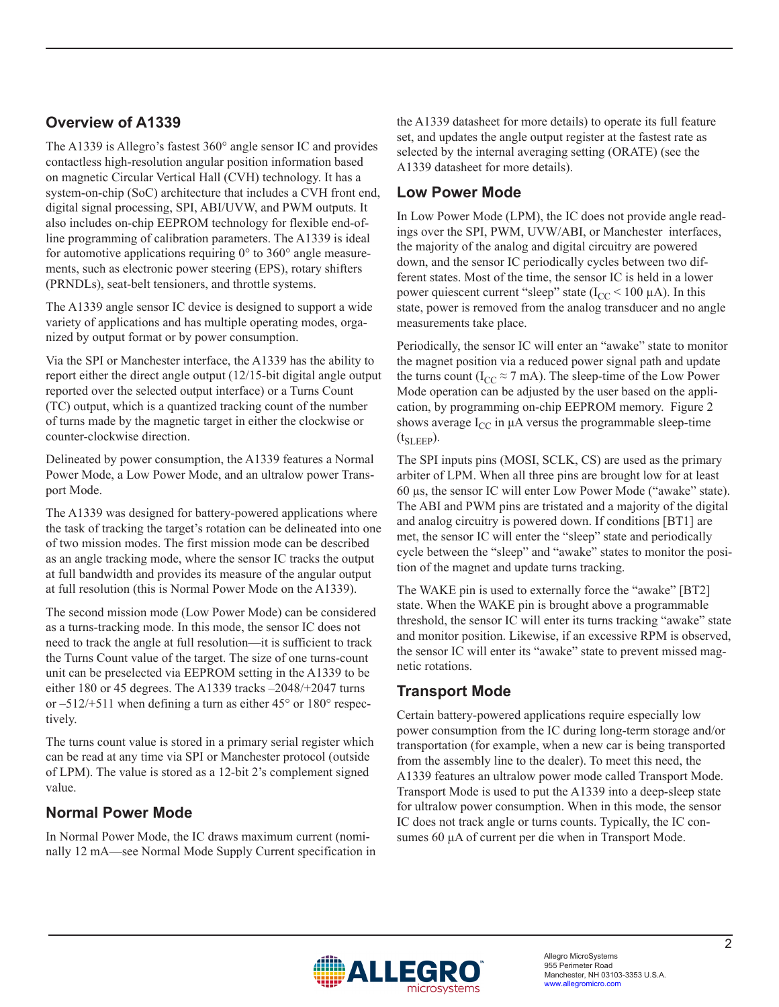## **Overview of A1339**

The A1339 is Allegro's fastest 360° angle sensor IC and provides contactless high-resolution angular position information based on magnetic Circular Vertical Hall (CVH) technology. It has a system-on-chip (SoC) architecture that includes a CVH front end, digital signal processing, SPI, ABI/UVW, and PWM outputs. It also includes on-chip EEPROM technology for flexible end-ofline programming of calibration parameters. The A1339 is ideal for automotive applications requiring  $0^{\circ}$  to 360 $^{\circ}$  angle measurements, such as electronic power steering (EPS), rotary shifters (PRNDLs), seat-belt tensioners, and throttle systems.

The A1339 angle sensor IC device is designed to support a wide variety of applications and has multiple operating modes, organized by output format or by power consumption.

Via the SPI or Manchester interface, the A1339 has the ability to report either the direct angle output (12/15-bit digital angle output reported over the selected output interface) or a Turns Count (TC) output, which is a quantized tracking count of the number of turns made by the magnetic target in either the clockwise or counter-clockwise direction.

Delineated by power consumption, the A1339 features a Normal Power Mode, a Low Power Mode, and an ultralow power Transport Mode.

The A1339 was designed for battery-powered applications where the task of tracking the target's rotation can be delineated into one of two mission modes. The first mission mode can be described as an angle tracking mode, where the sensor IC tracks the output at full bandwidth and provides its measure of the angular output at full resolution (this is Normal Power Mode on the A1339).

The second mission mode (Low Power Mode) can be considered as a turns-tracking mode. In this mode, the sensor IC does not need to track the angle at full resolution—it is sufficient to track the Turns Count value of the target. The size of one turns-count unit can be preselected via EEPROM setting in the A1339 to be either 180 or 45 degrees. The A1339 tracks –2048/+2047 turns or  $-512/+511$  when defining a turn as either  $45^{\circ}$  or  $180^{\circ}$  respectively.

The turns count value is stored in a primary serial register which can be read at any time via SPI or Manchester protocol (outside of LPM). The value is stored as a 12-bit 2's complement signed value.

# **Normal Power Mode**

In Normal Power Mode, the IC draws maximum current (nominally 12 mA—see Normal Mode Supply Current specification in the A1339 datasheet for more details) to operate its full feature set, and updates the angle output register at the fastest rate as selected by the internal averaging setting (ORATE) (see the A1339 datasheet for more details).

## **Low Power Mode**

In Low Power Mode (LPM), the IC does not provide angle readings over the SPI, PWM, UVW/ABI, or Manchester interfaces, the majority of the analog and digital circuitry are powered down, and the sensor IC periodically cycles between two different states. Most of the time, the sensor IC is held in a lower power quiescent current "sleep" state  $(I_{CC} < 100 \mu A)$ . In this state, power is removed from the analog transducer and no angle measurements take place.

Periodically, the sensor IC will enter an "awake" state to monitor the magnet position via a reduced power signal path and update the turns count ( $I_{CC} \approx 7$  mA). The sleep-time of the Low Power Mode operation can be adjusted by the user based on the application, by programming on-chip EEPROM memory. [Figure 2](#page-2-0) shows average  $I_{CC}$  in  $\mu A$  versus the programmable sleep-time  $(t_{SLEEP})$ .

The SPI inputs pins (MOSI, SCLK, CS) are used as the primary arbiter of LPM. When all three pins are brought low for at least 60 µs, the sensor IC will enter Low Power Mode ("awake" state). The ABI and PWM pins are tristated and a majority of the digital and analog circuitry is powered down. If conditions [BT1] are met, the sensor IC will enter the "sleep" state and periodically cycle between the "sleep" and "awake" states to monitor the position of the magnet and update turns tracking.

The WAKE pin is used to externally force the "awake" [BT2] state. When the WAKE pin is brought above a programmable threshold, the sensor IC will enter its turns tracking "awake" state and monitor position. Likewise, if an excessive RPM is observed, the sensor IC will enter its "awake" state to prevent missed magnetic rotations.

# **Transport Mode**

Certain battery-powered applications require especially low power consumption from the IC during long-term storage and/or transportation (for example, when a new car is being transported from the assembly line to the dealer). To meet this need, the A1339 features an ultralow power mode called Transport Mode. Transport Mode is used to put the A1339 into a deep-sleep state for ultralow power consumption. When in this mode, the sensor IC does not track angle or turns counts. Typically, the IC consumes 60 μA of current per die when in Transport Mode.

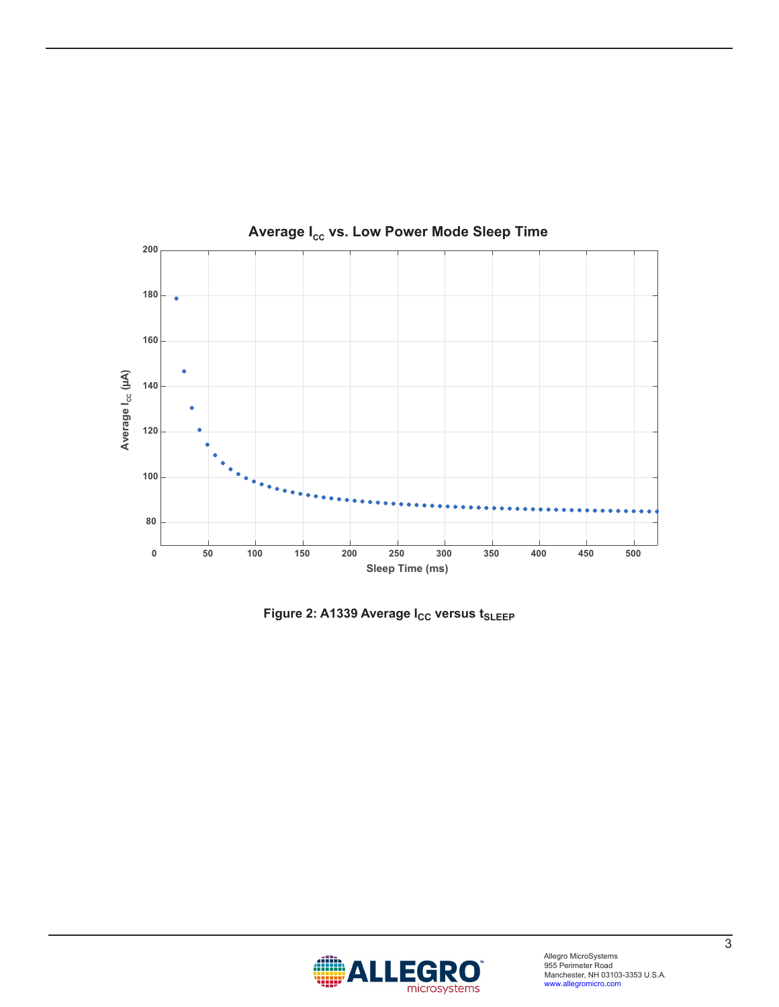

Average I<sub>cc</sub> vs. Low Power Mode Sleep Time

<span id="page-2-0"></span>**Figure 2: A1339 Average I<sub>CC</sub> versus t<sub>SLEEP</sub>** 

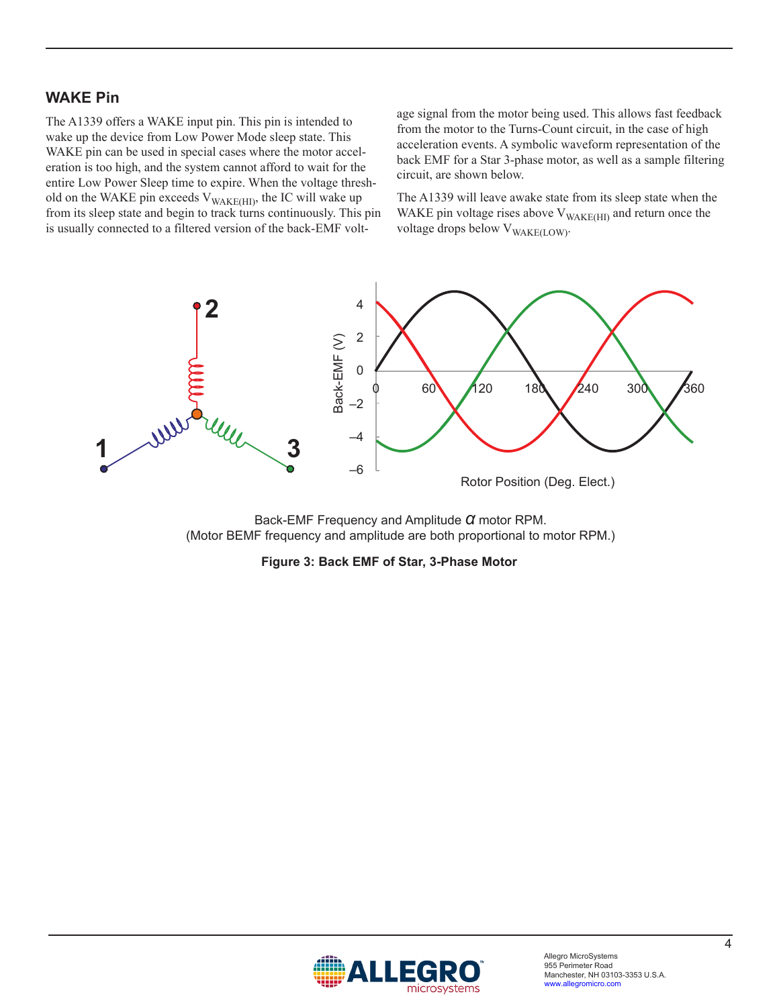### **WAKE Pin**

The A1339 offers a WAKE input pin. This pin is intended to wake up the device from Low Power Mode sleep state. This WAKE pin can be used in special cases where the motor acceleration is too high, and the system cannot afford to wait for the entire Low Power Sleep time to expire. When the voltage threshold on the WAKE pin exceeds  $V_{\text{WAKE(HI)}}$ , the IC will wake up from its sleep state and begin to track turns continuously. This pin is usually connected to a filtered version of the back-EMF voltage signal from the motor being used. This allows fast feedback from the motor to the Turns-Count circuit, in the case of high acceleration events. A symbolic waveform representation of the back EMF for a Star 3-phase motor, as well as a sample filtering circuit, are shown below.

The A1339 will leave awake state from its sleep state when the WAKE pin voltage rises above  $V_{\text{WAKE(HI)}}$  and return once the voltage drops below V<sub>WAKE(LOW)</sub>.



Back-EMF Frequency and Amplitude *α* motor RPM. (Motor BEMF frequency and amplitude are both proportional to motor RPM.)

#### **Figure 3: Back EMF of Star, 3-Phase Motor**

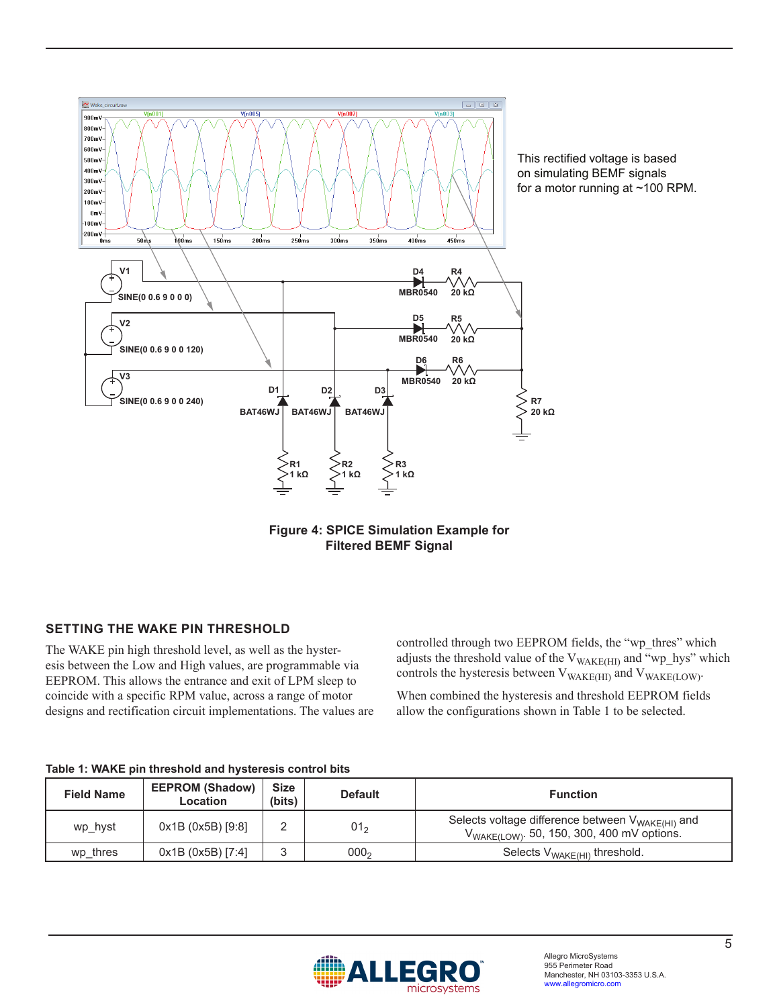

This rectified voltage is based on simulating BEMF signals for a motor running at ~100 RPM.



### **SETTING THE WAKE PIN THRESHOLD**

The WAKE pin high threshold level, as well as the hysteresis between the Low and High values, are programmable via EEPROM. This allows the entrance and exit of LPM sleep to coincide with a specific RPM value, across a range of motor designs and rectification circuit implementations. The values are

controlled through two EEPROM fields, the "wp\_thres" which adjusts the threshold value of the  $V_{\rm WAKE(HI)}$  and "wp\_hys" which controls the hysteresis between  $V_{\text{WAKE(HI)}}$  and  $V_{\text{WAKE(LOW)}}$ .

When combined the hysteresis and threshold EEPROM fields allow the configurations shown in [Table 1](#page-4-0) to be selected.

#### <span id="page-4-0"></span>**Table 1: WAKE pin threshold and hysteresis control bits**

| <b>Field Name</b> | <b>EEPROM (Shadow)</b><br>Location | <b>Size</b><br>(bits) | <b>Default</b>   | <b>Function</b>                                                                                                        |
|-------------------|------------------------------------|-----------------------|------------------|------------------------------------------------------------------------------------------------------------------------|
| wp hyst           | 0x1B(0x5B)[9:8]                    |                       | 01 <sub>2</sub>  | Selects voltage difference between V <sub>WAKE(HI)</sub> and<br>$V_{\text{WAKE(LOW)}}$ . 50, 150, 300, 400 mV options. |
| wp thres          | 0x1B(0x5B)[7:4]                    |                       | 000 <sub>2</sub> | Selects $V_{\text{WAKE(HI)}}$ threshold.                                                                               |

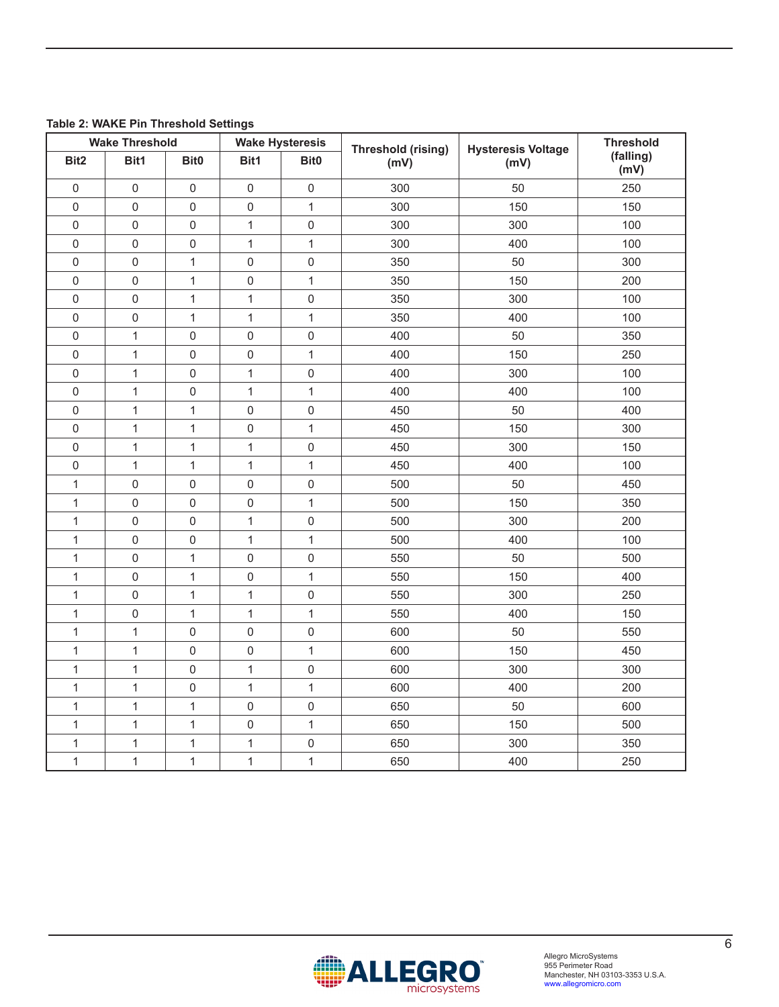|  |  |  |  | Table 2: WAKE Pin Threshold Settings |  |
|--|--|--|--|--------------------------------------|--|
|--|--|--|--|--------------------------------------|--|

| <b>Wake Threshold</b> |              |                  | <b>Wake Hysteresis</b> | Threshold (rising) | <b>Hysteresis Voltage</b> | <b>Threshold</b> |                   |
|-----------------------|--------------|------------------|------------------------|--------------------|---------------------------|------------------|-------------------|
| Bit <sub>2</sub>      | Bit1         | Bit0             | Bit1                   | Bit <sub>0</sub>   | (mV)                      | (mV)             | (falling)<br>(mV) |
| $\mathbf 0$           | $\mathsf 0$  | $\mathbf 0$      | $\mathsf 0$            | $\mathbf 0$        | 300                       | 50               | 250               |
| $\mathsf 0$           | $\mathbf 0$  | $\mathbf 0$      | $\mathsf 0$            | $\mathbf{1}$       | 300                       | 150              | 150               |
| 0                     | $\mathbf 0$  | $\mathbf 0$      | $\mathbf{1}$           | 0                  | 300                       | 300              | 100               |
| $\mathsf 0$           | $\mathbf 0$  | $\boldsymbol{0}$ | $\mathbf{1}$           | $\mathbf{1}$       | 300                       | 400              | 100               |
| 0                     | $\mathbf 0$  | $\mathbf{1}$     | 0                      | $\mathbf 0$        | 350                       | 50               | 300               |
| 0                     | $\mathbf 0$  | $\mathbf{1}$     | 0                      | 1                  | 350                       | 150              | 200               |
| $\mathsf 0$           | $\mathbf 0$  | 1                | $\mathbf{1}$           | $\mathsf 0$        | 350                       | 300              | 100               |
| $\mathsf{O}\xspace$   | $\mathbf 0$  | $\mathbf{1}$     | $\mathbf{1}$           | $\mathbf{1}$       | 350                       | 400              | 100               |
| 0                     | 1            | $\mathbf 0$      | 0                      | 0                  | 400                       | 50               | 350               |
| $\mathsf 0$           | $\mathbf 1$  | $\mathbf 0$      | 0                      | $\mathbf{1}$       | 400                       | 150              | 250               |
| 0                     | $\mathbf{1}$ | $\mathbf 0$      | 1                      | 0                  | 400                       | 300              | 100               |
| 0                     | $\mathbf{1}$ | $\pmb{0}$        | 1                      | 1                  | 400                       | 400              | 100               |
| 0                     | $\mathbf{1}$ | $\mathbf{1}$     | 0                      | $\mathbf 0$        | 450                       | 50               | 400               |
| $\mathsf{O}\xspace$   | $\mathbf{1}$ | 1                | $\mathsf 0$            | 1                  | 450                       | 150              | 300               |
| 0                     | $\mathbf{1}$ | $\mathbf{1}$     | 1                      | 0                  | 450                       | 300              | 150               |
| 0                     | $\mathbf{1}$ | $\mathbf{1}$     | 1                      | 1                  | 450                       | 400              | 100               |
| 1                     | $\mathbf 0$  | $\mathbf 0$      | $\mathsf 0$            | 0                  | 500                       | 50               | 450               |
| $\mathbf{1}$          | $\mathbf 0$  | $\mathbf 0$      | $\mathsf 0$            | $\mathbf{1}$       | 500                       | 150              | 350               |
| 1                     | $\mathbf 0$  | 0                | $\mathbf{1}$           | 0                  | 500                       | 300              | 200               |
| 1                     | $\mathbf 0$  | $\mathbf 0$      | 1                      | 1                  | 500                       | 400              | 100               |
| $\mathbf{1}$          | $\mathbf 0$  | $\mathbf{1}$     | $\mathsf 0$            | $\mathbf 0$        | 550                       | 50               | 500               |
| $\mathbf{1}$          | $\mathbf 0$  | $\mathbf{1}$     | 0                      | $\mathbf{1}$       | 550                       | 150              | 400               |
| $\mathbf 1$           | $\mathbf 0$  | $\mathbf{1}$     | 1                      | 0                  | 550                       | 300              | 250               |
| $\mathbf{1}$          | $\mathbf 0$  | $\mathbf{1}$     | 1                      | 1                  | 550                       | 400              | 150               |
| $\mathbf 1$           | $\mathbf{1}$ | 0                | $\mathsf 0$            | 0                  | 600                       | 50               | 550               |
| 1                     | $\mathbf{1}$ | $\mathbf 0$      | $\mathsf 0$            | $\mathbf{1}$       | 600                       | 150              | 450               |
| 1                     | $\mathbf{1}$ | $\mathbf 0$      | $\mathbf{1}$           | 0                  | 600                       | 300              | 300               |
| $\mathbf{1}$          | $\mathbf{1}$ | $\mathbf 0$      | $\mathbf{1}$           | 1                  | 600                       | 400              | 200               |
| $\mathbf{1}$          | $\mathbf{1}$ | $\mathbf{1}$     | $\mathsf 0$            | 0                  | 650                       | 50               | 600               |
| $\mathbf 1$           | $\mathbf 1$  | 1                | $\mathsf 0$            | 1                  | 650                       | 150              | 500               |
| 1                     | $\mathbf 1$  | $\mathbf{1}$     | 1                      | 0                  | 650                       | 300              | 350               |
| $\mathbf 1$           | $\mathbf 1$  | $\mathbf{1}$     | $\mathbf{1}$           | $\mathbf{1}$       | 650                       | 400              | 250               |

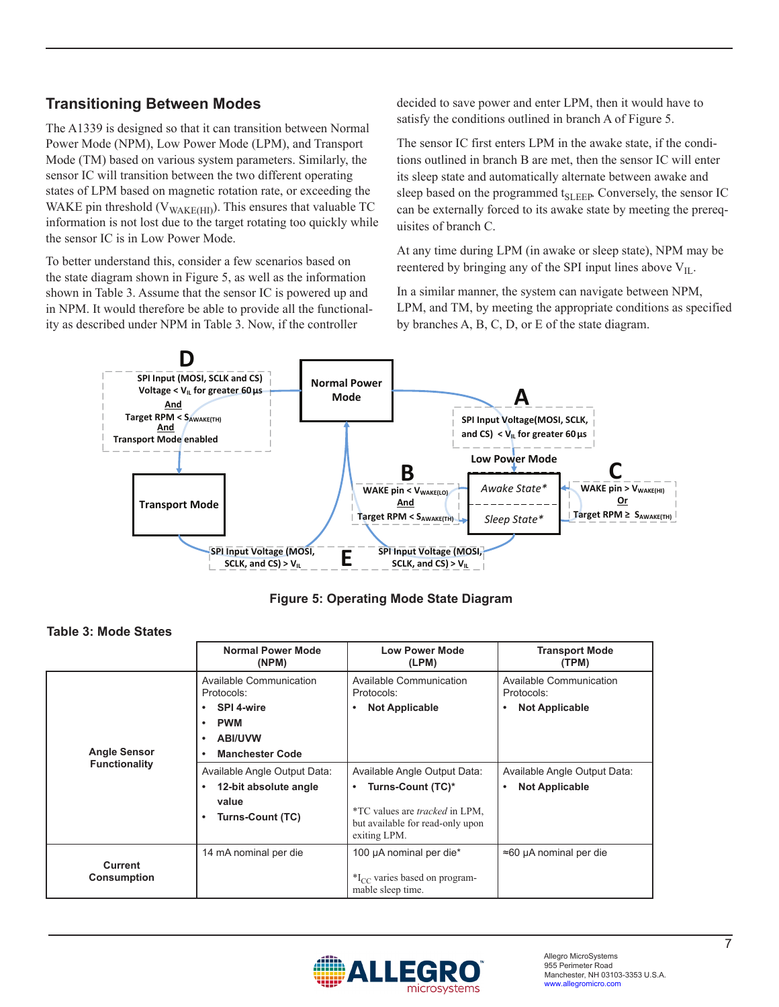# **Transitioning Between Modes**

The A1339 is designed so that it can transition between Normal Power Mode (NPM), Low Power Mode (LPM), and Transport Mode (TM) based on various system parameters. Similarly, the sensor IC will transition between the two different operating states of LPM based on magnetic rotation rate, or exceeding the WAKE pin threshold ( $V_{\text{WAKE(HI)}}$ ). This ensures that valuable TC information is not lost due to the target rotating too quickly while the sensor IC is in Low Power Mode.

To better understand this, consider a few scenarios based on the state diagram shown in [Figure 5](#page-6-0), as well as the information shown in [Table 3](#page-6-1). Assume that the sensor IC is powered up and in NPM. It would therefore be able to provide all the functionality as described under NPM in [Table 3.](#page-6-1) Now, if the controller

decided to save power and enter LPM, then it would have to satisfy the conditions outlined in branch A of [Figure 5.](#page-6-0)

The sensor IC first enters LPM in the awake state, if the conditions outlined in branch B are met, then the sensor IC will enter its sleep state and automatically alternate between awake and sleep based on the programmed t<sub>SLEEP</sub>. Conversely, the sensor IC can be externally forced to its awake state by meeting the prerequisites of branch C.

At any time during LPM (in awake or sleep state), NPM may be reentered by bringing any of the SPI input lines above  $V_{II}$ .

In a similar manner, the system can navigate between NPM, LPM, and TM, by meeting the appropriate conditions as specified by branches A, B, C, D, or E of the state diagram.



<span id="page-6-0"></span>**Figure 5: Operating Mode State Diagram**

<span id="page-6-1"></span>

|                                      | <b>Normal Power Mode</b><br>(NPM)                                                                                        | <b>Low Power Mode</b><br>(LPM)                                                                                                                             | <b>Transport Mode</b><br>(TPM)                                     |  |
|--------------------------------------|--------------------------------------------------------------------------------------------------------------------------|------------------------------------------------------------------------------------------------------------------------------------------------------------|--------------------------------------------------------------------|--|
|                                      | Available Communication<br>Protocols:                                                                                    | Available Communication<br>Protocols:                                                                                                                      | Available Communication<br>Protocols:                              |  |
| <b>Angle Sensor</b>                  | SPI 4-wire<br>$\bullet$<br><b>PWM</b><br>$\bullet$<br><b>ABI/UVW</b><br>$\bullet$<br><b>Manchester Code</b><br>$\bullet$ | <b>Not Applicable</b><br>٠                                                                                                                                 | <b>Not Applicable</b><br>٠                                         |  |
| <b>Functionality</b>                 | Available Angle Output Data:<br>12-bit absolute angle<br>$\bullet$<br>value<br><b>Turns-Count (TC)</b><br>$\bullet$      | Available Angle Output Data:<br>Turns-Count (TC)*<br>٠<br><i>*TC</i> values are <i>tracked</i> in LPM,<br>but available for read-only upon<br>exiting LPM. | Available Angle Output Data:<br><b>Not Applicable</b><br>$\bullet$ |  |
| <b>Current</b><br><b>Consumption</b> | 14 mA nominal per die                                                                                                    | 100 µA nominal per die*<br>$*_{\mathrm{L}\mathrm{C}}$ varies based on program-<br>mable sleep time.                                                        | $\approx$ 60 µA nominal per die                                    |  |

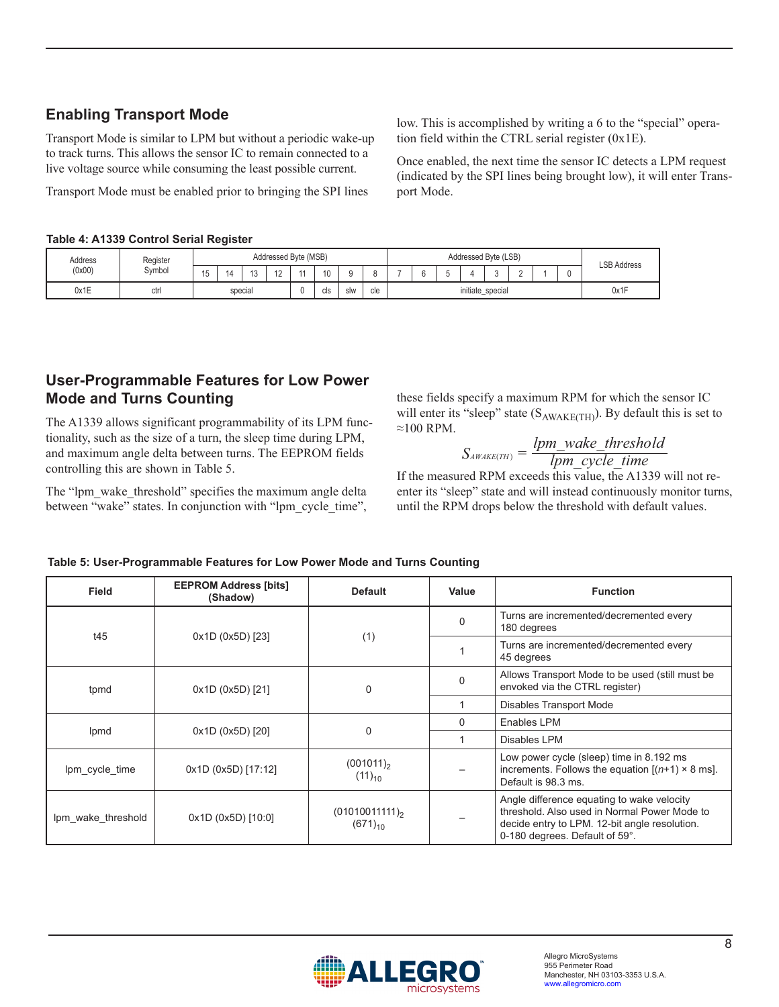# **Enabling Transport Mode**

Transport Mode is similar to LPM but without a periodic wake-up to track turns. This allows the sensor IC to remain connected to a live voltage source while consuming the least possible current.

Transport Mode must be enabled prior to bringing the SPI lines

#### **Table 4: A1339 Control Serial Register**

low. This is accomplished by writing a 6 to the "special" operation field within the CTRL serial register (0x1E).

Once enabled, the next time the sensor IC detects a LPM request (indicated by the SPI lines being brought low), it will enter Transport Mode.

| Address | Addressed Byte (MSB) |         |    |    |     |     |     | Addressed Byte (LSB) |  |  |  |      |  | <b>LSB Address</b> |  |  |  |  |
|---------|----------------------|---------|----|----|-----|-----|-----|----------------------|--|--|--|------|--|--------------------|--|--|--|--|
| (0x00)  | Svmbol               | 15      | 14 | ∪ו | ╺   |     | 10  |                      |  |  |  |      |  |                    |  |  |  |  |
| 0x1E    | ctr                  | special |    |    | cls | slw | cle | initiate_special     |  |  |  | 0x1F |  |                    |  |  |  |  |

## **User-Programmable Features for Low Power Mode and Turns Counting**

The A1339 allows significant programmability of its LPM functionality, such as the size of a turn, the sleep time during LPM, and maximum angle delta between turns. The EEPROM fields controlling this are shown in Table 5.

The "lpm\_wake\_threshold" specifies the maximum angle delta between "wake" states. In conjunction with "lpm\_cycle\_time",

these fields specify a maximum RPM for which the sensor IC will enter its "sleep" state  $(S_{AWAKE(TH)})$ . By default this is set to ≈100 RPM.

 $S_{\text{AWAKE(TH)}} = \frac{P_{\text{H}} - \text{Value\_in 0}}{Ipm\_cycle\_time}$  $\frac{d}{d}$   $\mu_{\text{MKE(TH)}} = \frac{lpm\_wake\_threshold}{lmm\_cycle\_time}$ 

If the measured RPM exceeds this value, the A1339 will not reenter its "sleep" state and will instead continuously monitor turns, until the RPM drops below the threshold with default values.

| <b>Field</b>       | <b>EEPROM Address [bits]</b><br>(Shadow) | <b>Default</b>                      | Value    | <b>Function</b>                                                                                                                                                               |
|--------------------|------------------------------------------|-------------------------------------|----------|-------------------------------------------------------------------------------------------------------------------------------------------------------------------------------|
| t45                | 0x1D (0x5D) [23]                         |                                     | $\Omega$ | Turns are incremented/decremented every<br>180 degrees                                                                                                                        |
|                    |                                          | (1)                                 |          | Turns are incremented/decremented every<br>45 degrees                                                                                                                         |
| tpmd               | 0x1D (0x5D) [21]                         | $\Omega$                            | $\Omega$ | Allows Transport Mode to be used (still must be<br>envoked via the CTRL register)                                                                                             |
|                    |                                          |                                     |          | Disables Transport Mode                                                                                                                                                       |
|                    |                                          | $\Omega$                            | $\Omega$ | Enables LPM                                                                                                                                                                   |
| Ipmd               | 0x1D (0x5D) [20]                         |                                     |          | Disables LPM                                                                                                                                                                  |
| Ipm cycle time     | 0x1D (0x5D) [17:12]                      | $(001011)_{2}$<br>$(11)_{10}$       |          | Low power cycle (sleep) time in 8.192 ms<br>increments. Follows the equation $[(n+1) \times 8 \text{ ms}]$ .<br>Default is 98.3 ms.                                           |
| Ipm wake threshold | 0x1D(0x5D)[10:0]                         | $(01010011111)_{2}$<br>$(671)_{10}$ |          | Angle difference equating to wake velocity<br>threshold. Also used in Normal Power Mode to<br>decide entry to LPM. 12-bit angle resolution.<br>0-180 degrees. Default of 59°. |

#### **Table 5: User-Programmable Features for Low Power Mode and Turns Counting**

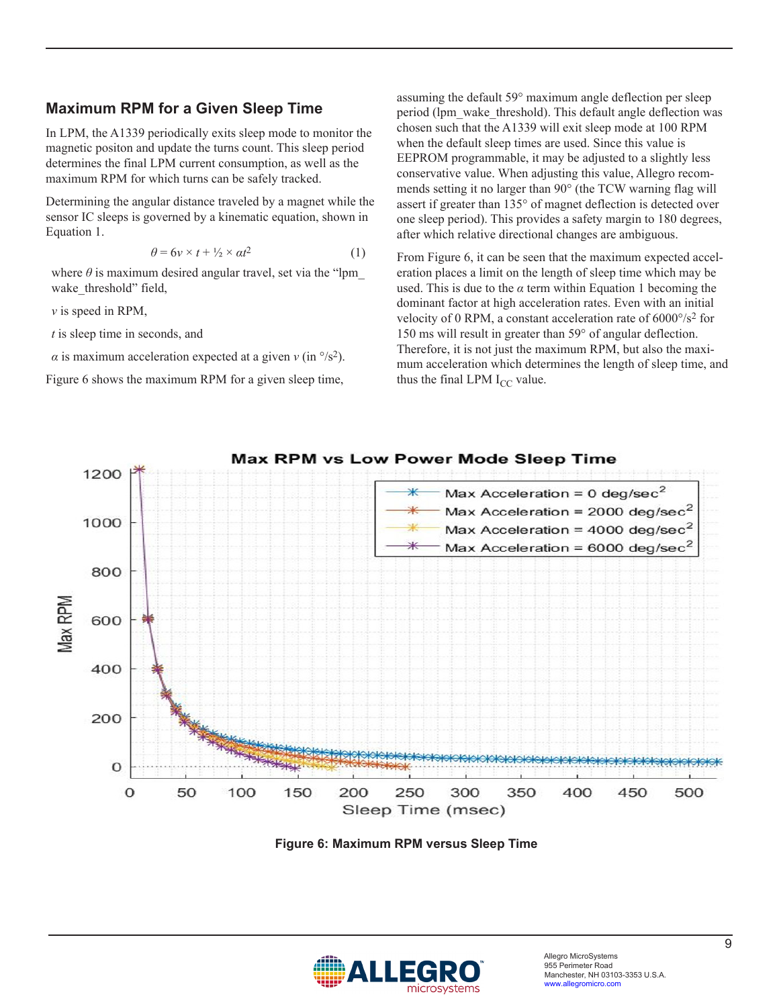### **Maximum RPM for a Given Sleep Time**

In LPM, the A1339 periodically exits sleep mode to monitor the magnetic positon and update the turns count. This sleep period determines the final LPM current consumption, as well as the maximum RPM for which turns can be safely tracked.

Determining the angular distance traveled by a magnet while the sensor IC sleeps is governed by a kinematic equation, shown in Equation 1.

$$
\theta = 6v \times t + \frac{1}{2} \times \alpha t^2 \tag{1}
$$

where  $\theta$  is maximum desired angular travel, set via the "lpm wake threshold" field,

*ν* is speed in RPM,

*t* is sleep time in seconds, and

*α* is maximum acceleration expected at a given  $v$  (in  $\frac{\circ}{s^2}$ ).

[Figure 6](#page-8-0) shows the maximum RPM for a given sleep time,

assuming the default 59° maximum angle deflection per sleep period (lpm\_wake\_threshold). This default angle deflection was chosen such that the A1339 will exit sleep mode at 100 RPM when the default sleep times are used. Since this value is EEPROM programmable, it may be adjusted to a slightly less conservative value. When adjusting this value, Allegro recommends setting it no larger than 90° (the TCW warning flag will assert if greater than 135° of magnet deflection is detected over one sleep period). This provides a safety margin to 180 degrees, after which relative directional changes are ambiguous.

From [Figure 6,](#page-8-0) it can be seen that the maximum expected acceleration places a limit on the length of sleep time which may be used. This is due to the  $\alpha$  term within Equation 1 becoming the dominant factor at high acceleration rates. Even with an initial velocity of 0 RPM, a constant acceleration rate of 6000°/s2 for 150 ms will result in greater than 59° of angular deflection. Therefore, it is not just the maximum RPM, but also the maximum acceleration which determines the length of sleep time, and thus the final LPM  $I_{CC}$  value.



<span id="page-8-0"></span>**Figure 6: Maximum RPM versus Sleep Time**

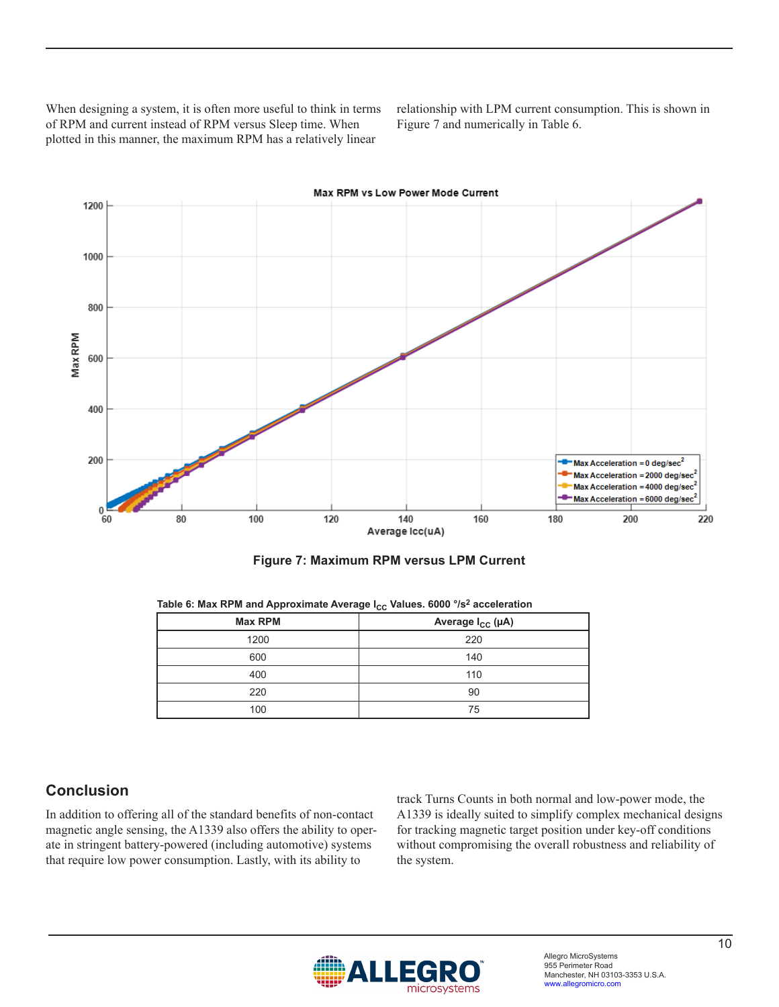When designing a system, it is often more useful to think in terms of RPM and current instead of RPM versus Sleep time. When plotted in this manner, the maximum RPM has a relatively linear

relationship with LPM current consumption. This is shown in [Figure 7](#page-9-0) and numerically in [Table 6.](#page-9-1)



<span id="page-9-1"></span><span id="page-9-0"></span>

| <b>Max RPM</b> | Average I <sub>CC</sub> (µA) |
|----------------|------------------------------|
| 1200           | 220                          |
| 600            | 140                          |
| 400            | 110                          |
| 220            | 90                           |
| 100            | 75                           |

Table 6: Max RPM and Approximate Average I<sub>CC</sub> Values. 6000 °/s<sup>2</sup> acceleration

### **Conclusion**

In addition to offering all of the standard benefits of non-contact magnetic angle sensing, the A1339 also offers the ability to operate in stringent battery-powered (including automotive) systems that require low power consumption. Lastly, with its ability to

track Turns Counts in both normal and low-power mode, the A1339 is ideally suited to simplify complex mechanical designs for tracking magnetic target position under key-off conditions without compromising the overall robustness and reliability of the system.